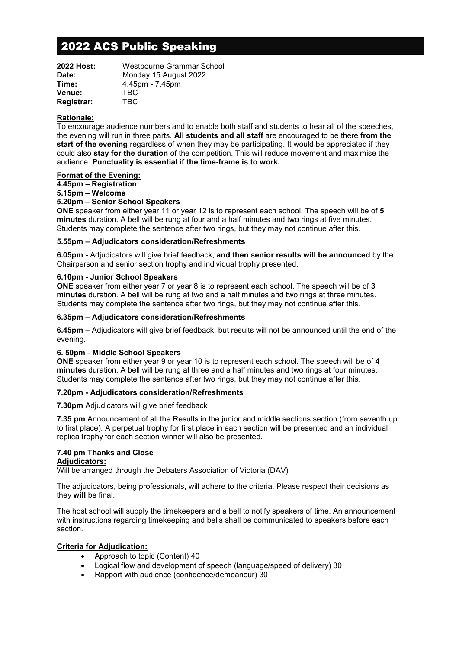# 2022 ACS Public Speaking

| Westbourne Grammar School |
|---------------------------|
| Monday 15 August 2022     |
| 4.45pm - 7.45pm           |
| TBC.                      |
| TBC                       |
|                           |

## **Rationale:**

To encourage audience numbers and to enable both staff and students to hear all of the speeches, the evening will run in three parts. **All students and all staff** are encouraged to be there **from the start of the evening** regardless of when they may be participating. It would be appreciated if they could also **stay for the duration** of the competition. This will reduce movement and maximise the audience. **Punctuality is essential if the time-frame is to work.**

## **Format of the Evening:**

## **4.45pm – Registration**

## **5.15pm – Welcome**

## **5.20pm – Senior School Speakers**

**ONE** speaker from either year 11 or year 12 is to represent each school. The speech will be of **5 minutes** duration. A bell will be rung at four and a half minutes and two rings at five minutes. Students may complete the sentence after two rings, but they may not continue after this.

#### **5.55pm – Adjudicators consideration/Refreshments**

**6.05pm -** Adjudicators will give brief feedback, **and then senior results will be announced** by the Chairperson and senior section trophy and individual trophy presented.

#### **6.10pm - Junior School Speakers**

**ONE** speaker from either year 7 or year 8 is to represent each school. The speech will be of **3 minutes** duration. A bell will be rung at two and a half minutes and two rings at three minutes. Students may complete the sentence after two rings, but they may not continue after this.

#### **6.35pm – Adjudicators consideration/Refreshments**

**6.45pm –** Adjudicators will give brief feedback, but results will not be announced until the end of the evening.

#### **6. 50pm** - **Middle School Speakers**

**ONE** speaker from either year 9 or year 10 is to represent each school. The speech will be of **4 minutes** duration. A bell will be rung at three and a half minutes and two rings at four minutes. Students may complete the sentence after two rings, but they may not continue after this.

#### **7.20pm - Adjudicators consideration/Refreshments**

**7.30pm** Adjudicators will give brief feedback

**7.35 pm** Announcement of all the Results in the junior and middle sections section (from seventh up to first place). A perpetual trophy for first place in each section will be presented and an individual replica trophy for each section winner will also be presented.

#### **7.40 pm Thanks and Close Adjudicators:**

Will be arranged through the Debaters Association of Victoria (DAV)

The adjudicators, being professionals, will adhere to the criteria. Please respect their decisions as they **will** be final.

The host school will supply the timekeepers and a bell to notify speakers of time. An announcement with instructions regarding timekeeping and bells shall be communicated to speakers before each section.

## **Criteria for Adjudication:**

- Approach to topic (Content) 40
- Logical flow and development of speech (language/speed of delivery) 30
- Rapport with audience (confidence/demeanour) 30